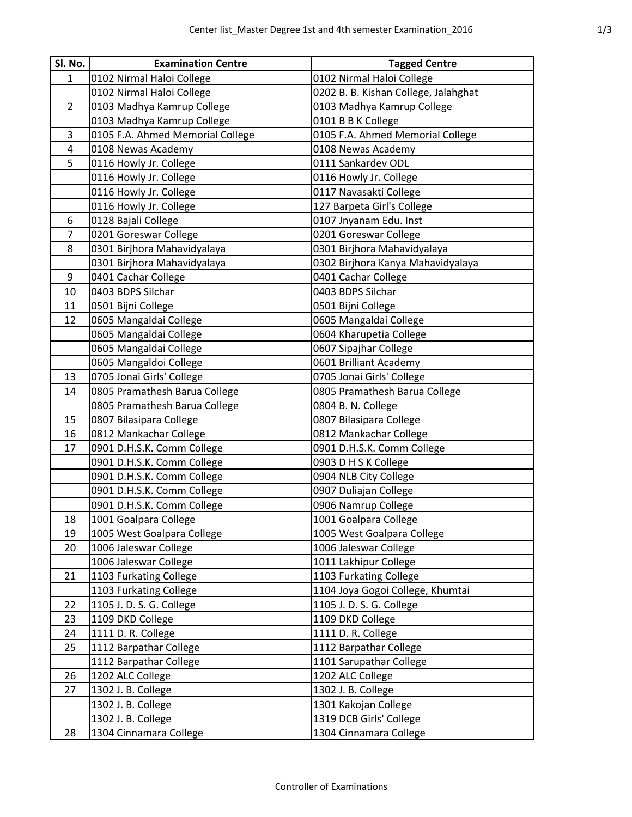| Sl. No.        | <b>Examination Centre</b>        | <b>Tagged Centre</b>                 |
|----------------|----------------------------------|--------------------------------------|
| 1              | 0102 Nirmal Haloi College        | 0102 Nirmal Haloi College            |
|                | 0102 Nirmal Haloi College        | 0202 B. B. Kishan College, Jalahghat |
| $\overline{2}$ | 0103 Madhya Kamrup College       | 0103 Madhya Kamrup College           |
|                | 0103 Madhya Kamrup College       | 0101 B B K College                   |
| 3              | 0105 F.A. Ahmed Memorial College | 0105 F.A. Ahmed Memorial College     |
| 4              | 0108 Newas Academy               | 0108 Newas Academy                   |
| 5              | 0116 Howly Jr. College           | 0111 Sankardev ODL                   |
|                | 0116 Howly Jr. College           | 0116 Howly Jr. College               |
|                | 0116 Howly Jr. College           | 0117 Navasakti College               |
|                | 0116 Howly Jr. College           | 127 Barpeta Girl's College           |
| 6              | 0128 Bajali College              | 0107 Jnyanam Edu. Inst               |
| $\overline{7}$ | 0201 Goreswar College            | 0201 Goreswar College                |
| 8              | 0301 Birjhora Mahavidyalaya      | 0301 Birjhora Mahavidyalaya          |
|                | 0301 Birjhora Mahavidyalaya      | 0302 Birjhora Kanya Mahavidyalaya    |
| 9              | 0401 Cachar College              | 0401 Cachar College                  |
| 10             | 0403 BDPS Silchar                | 0403 BDPS Silchar                    |
| 11             | 0501 Bijni College               | 0501 Bijni College                   |
| 12             | 0605 Mangaldai College           | 0605 Mangaldai College               |
|                | 0605 Mangaldai College           | 0604 Kharupetia College              |
|                | 0605 Mangaldai College           | 0607 Sipajhar College                |
|                | 0605 Mangaldoi College           | 0601 Brilliant Academy               |
| 13             | 0705 Jonai Girls' College        | 0705 Jonai Girls' College            |
| 14             | 0805 Pramathesh Barua College    | 0805 Pramathesh Barua College        |
|                | 0805 Pramathesh Barua College    | 0804 B. N. College                   |
| 15             | 0807 Bilasipara College          | 0807 Bilasipara College              |
| 16             | 0812 Mankachar College           | 0812 Mankachar College               |
| 17             | 0901 D.H.S.K. Comm College       | 0901 D.H.S.K. Comm College           |
|                | 0901 D.H.S.K. Comm College       | 0903 D H S K College                 |
|                | 0901 D.H.S.K. Comm College       | 0904 NLB City College                |
|                | 0901 D.H.S.K. Comm College       | 0907 Duliajan College                |
|                | 0901 D.H.S.K. Comm College       | 0906 Namrup College                  |
| 18             | 1001 Goalpara College            | 1001 Goalpara College                |
| 19             | 1005 West Goalpara College       | 1005 West Goalpara College           |
| 20             | 1006 Jaleswar College            | 1006 Jaleswar College                |
|                | 1006 Jaleswar College            | 1011 Lakhipur College                |
| 21             | 1103 Furkating College           | 1103 Furkating College               |
|                | 1103 Furkating College           | 1104 Joya Gogoi College, Khumtai     |
| 22             | 1105 J. D. S. G. College         | 1105 J. D. S. G. College             |
| 23             | 1109 DKD College                 | 1109 DKD College                     |
| 24             | 1111 D. R. College               | 1111 D. R. College                   |
| 25             | 1112 Barpathar College           | 1112 Barpathar College               |
|                | 1112 Barpathar College           | 1101 Sarupathar College              |
| 26             | 1202 ALC College                 | 1202 ALC College                     |
| 27             | 1302 J. B. College               | 1302 J. B. College                   |
|                | 1302 J. B. College               | 1301 Kakojan College                 |
|                | 1302 J. B. College               | 1319 DCB Girls' College              |
| 28             | 1304 Cinnamara College           | 1304 Cinnamara College               |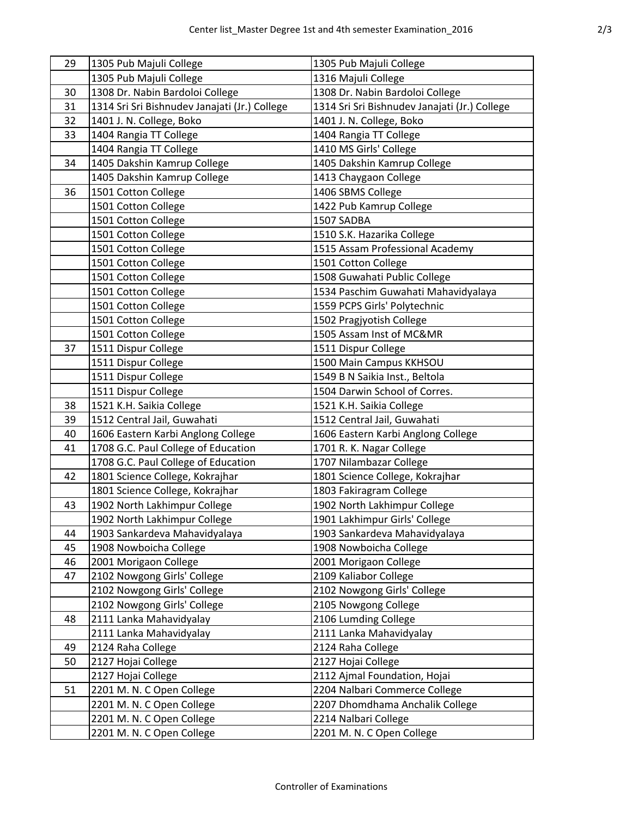| 29 | 1305 Pub Majuli College                       | 1305 Pub Majuli College                       |
|----|-----------------------------------------------|-----------------------------------------------|
|    | 1305 Pub Majuli College                       | 1316 Majuli College                           |
| 30 | 1308 Dr. Nabin Bardoloi College               | 1308 Dr. Nabin Bardoloi College               |
| 31 | 1314 Sri Sri Bishnudev Janajati (Jr.) College | 1314 Sri Sri Bishnudev Janajati (Jr.) College |
| 32 | 1401 J. N. College, Boko                      | 1401 J. N. College, Boko                      |
| 33 | 1404 Rangia TT College                        | 1404 Rangia TT College                        |
|    | 1404 Rangia TT College                        | 1410 MS Girls' College                        |
| 34 | 1405 Dakshin Kamrup College                   | 1405 Dakshin Kamrup College                   |
|    | 1405 Dakshin Kamrup College                   | 1413 Chaygaon College                         |
| 36 | 1501 Cotton College                           | 1406 SBMS College                             |
|    | 1501 Cotton College                           | 1422 Pub Kamrup College                       |
|    | 1501 Cotton College                           | 1507 SADBA                                    |
|    | 1501 Cotton College                           | 1510 S.K. Hazarika College                    |
|    | 1501 Cotton College                           | 1515 Assam Professional Academy               |
|    | 1501 Cotton College                           | 1501 Cotton College                           |
|    | 1501 Cotton College                           | 1508 Guwahati Public College                  |
|    | 1501 Cotton College                           | 1534 Paschim Guwahati Mahavidyalaya           |
|    | 1501 Cotton College                           | 1559 PCPS Girls' Polytechnic                  |
|    | 1501 Cotton College                           | 1502 Pragjyotish College                      |
|    | 1501 Cotton College                           | 1505 Assam Inst of MC&MR                      |
| 37 | 1511 Dispur College                           | 1511 Dispur College                           |
|    | 1511 Dispur College                           | 1500 Main Campus KKHSOU                       |
|    | 1511 Dispur College                           | 1549 B N Saikia Inst., Beltola                |
|    | 1511 Dispur College                           | 1504 Darwin School of Corres.                 |
| 38 | 1521 K.H. Saikia College                      | 1521 K.H. Saikia College                      |
| 39 | 1512 Central Jail, Guwahati                   | 1512 Central Jail, Guwahati                   |
| 40 | 1606 Eastern Karbi Anglong College            | 1606 Eastern Karbi Anglong College            |
| 41 | 1708 G.C. Paul College of Education           | 1701 R. K. Nagar College                      |
|    | 1708 G.C. Paul College of Education           | 1707 Nilambazar College                       |
| 42 | 1801 Science College, Kokrajhar               | 1801 Science College, Kokrajhar               |
|    | 1801 Science College, Kokrajhar               | 1803 Fakiragram College                       |
| 43 | 1902 North Lakhimpur College                  | 1902 North Lakhimpur College                  |
|    | 1902 North Lakhimpur College                  | 1901 Lakhimpur Girls' College                 |
| 44 | 1903 Sankardeva Mahavidyalaya                 | 1903 Sankardeva Mahavidyalaya                 |
| 45 | 1908 Nowboicha College                        | 1908 Nowboicha College                        |
| 46 | 2001 Morigaon College                         | 2001 Morigaon College                         |
| 47 | 2102 Nowgong Girls' College                   | 2109 Kaliabor College                         |
|    | 2102 Nowgong Girls' College                   | 2102 Nowgong Girls' College                   |
|    | 2102 Nowgong Girls' College                   | 2105 Nowgong College                          |
| 48 | 2111 Lanka Mahavidyalay                       | 2106 Lumding College                          |
|    | 2111 Lanka Mahavidyalay                       | 2111 Lanka Mahavidyalay                       |
| 49 | 2124 Raha College                             | 2124 Raha College                             |
| 50 | 2127 Hojai College                            | 2127 Hojai College                            |
|    | 2127 Hojai College                            | 2112 Ajmal Foundation, Hojai                  |
| 51 | 2201 M. N. C Open College                     | 2204 Nalbari Commerce College                 |
|    | 2201 M. N. C Open College                     | 2207 Dhomdhama Anchalik College               |
|    | 2201 M. N. C Open College                     | 2214 Nalbari College                          |
|    | 2201 M. N. C Open College                     | 2201 M. N. C Open College                     |